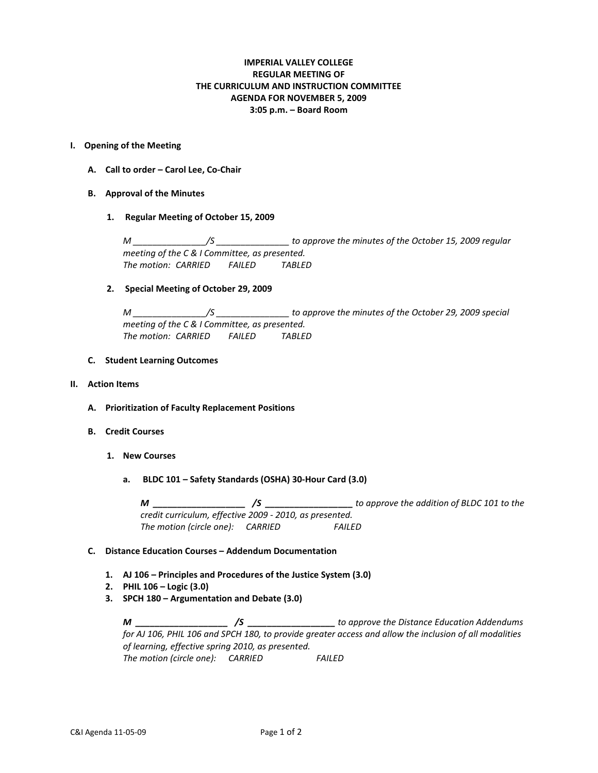# **IMPERIAL VALLEY COLLEGE REGULAR MEETING OF THE CURRICULUM AND INSTRUCTION COMMITTEE AGENDA FOR NOVEMBER 5, 2009 3:05 p.m. – Board Room**

#### **I. Opening of the Meeting**

- **A. Call to order – Carol Lee, Co-Chair**
- **B. Approval of the Minutes**
	- **1. Regular Meeting of October 15, 2009**

*M \_\_\_\_\_\_\_\_\_\_\_\_\_\_\_/S \_\_\_\_\_\_\_\_\_\_\_\_\_\_\_ to approve the minutes of the October 15, 2009 regular meeting of the C & I Committee, as presented. The motion: CARRIED FAILED TABLED*

### **2. Special Meeting of October 29, 2009**

*M \_\_\_\_\_\_\_\_\_\_\_\_\_\_\_/S \_\_\_\_\_\_\_\_\_\_\_\_\_\_\_ to approve the minutes of the October 29, 2009 special meeting of the C & I Committee, as presented. The motion: CARRIED FAILED TABLED*

- **C. Student Learning Outcomes**
- **II. Action Items**
	- **A. Prioritization of Faculty Replacement Positions**
	- **B. Credit Courses**
		- **1. New Courses**
			- **a. BLDC 101 – Safety Standards (OSHA) 30-Hour Card (3.0)**

*M \_\_\_\_\_\_\_\_\_\_\_\_\_\_\_\_\_\_\_ /S \_\_\_\_\_\_\_\_\_\_\_\_\_\_\_\_\_\_ to approve the addition of BLDC 101 to the credit curriculum, effective 2009 - 2010, as presented. The motion (circle one): CARRIED FAILED*

#### **C. Distance Education Courses – Addendum Documentation**

- **1. AJ 106 – Principles and Procedures of the Justice System (3.0)**
- **2. PHIL 106 – Logic (3.0)**
- **3. SPCH 180 – Argumentation and Debate (3.0)**

*M \_\_\_\_\_\_\_\_\_\_\_\_\_\_\_\_\_\_\_ /S \_\_\_\_\_\_\_\_\_\_\_\_\_\_\_\_\_\_ to approve the Distance Education Addendums for AJ 106, PHIL 106 and SPCH 180, to provide greater access and allow the inclusion of all modalities of learning, effective spring 2010, as presented. The motion (circle one): CARRIED FAILED*